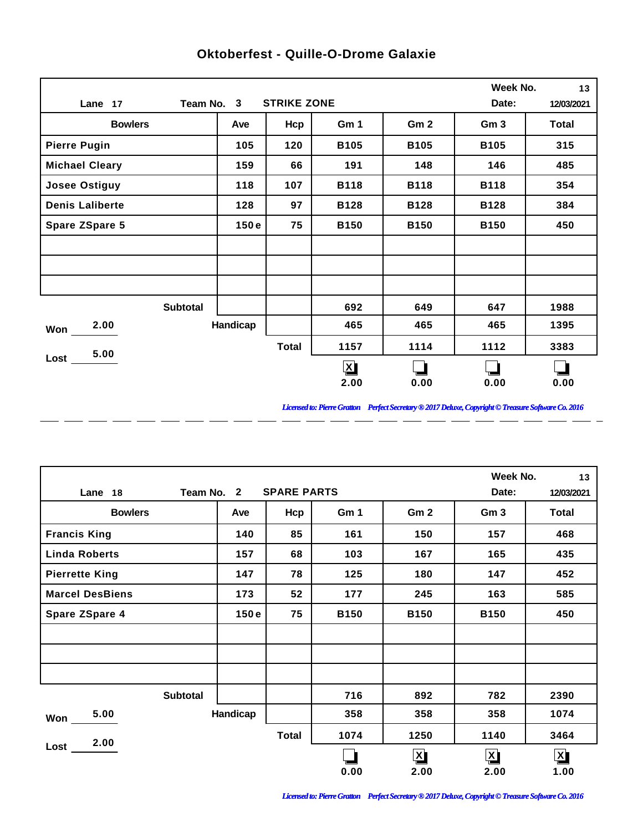|                        |            |                    |                         |                 | Week No.        | 13           |
|------------------------|------------|--------------------|-------------------------|-----------------|-----------------|--------------|
| Lane 17                | Team No. 3 | <b>STRIKE ZONE</b> |                         |                 | Date:           | 12/03/2021   |
| <b>Bowlers</b>         | Ave        | Hcp                | Gm 1                    | Gm <sub>2</sub> | Gm <sub>3</sub> | <b>Total</b> |
| <b>Pierre Pugin</b>    | 105        | 120                | <b>B105</b>             | <b>B105</b>     | <b>B105</b>     | 315          |
| <b>Michael Cleary</b>  | 159        | 66                 | 191                     | 148             | 146             | 485          |
| <b>Josee Ostiguy</b>   | 118        | 107                | <b>B118</b>             | <b>B118</b>     | <b>B118</b>     | 354          |
| <b>Denis Laliberte</b> | 128        | 97                 | <b>B128</b>             | <b>B128</b>     | <b>B128</b>     | 384          |
| <b>Spare ZSpare 5</b>  | 150e       | 75                 | <b>B150</b>             | <b>B150</b>     | <b>B150</b>     | 450          |
|                        |            |                    |                         |                 |                 |              |
|                        |            |                    |                         |                 |                 |              |
|                        |            |                    |                         |                 |                 |              |
| <b>Subtotal</b>        |            |                    | 692                     | 649             | 647             | 1988         |
| 2.00<br>Won            | Handicap   |                    | 465                     | 465             | 465             | 1395         |
| 5.00                   |            | <b>Total</b>       | 1157                    | 1114            | 1112            | 3383         |
| $Loss$ $\qquad$        |            |                    | $\overline{\mathbf{X}}$ |                 |                 |              |
|                        |            |                    | 2.00                    | 0.00            | 0.00            | 0.00         |

 $\overline{a}$ 

 $=$   $=$ 

 $\overline{a}$ 

 $\overline{a}$ 

 $\overline{a}$ 

 $\overline{a}$ 

 $\overline{a}$ 

## **Oktoberfest - Quille-O-Drome Galaxie**

*Licensed to: Pierre Gratton Perfect Secretary ® 2017 Deluxe, Copyright © Treasure Software Co. 2016* \_ \_\_ \_\_ \_\_ \_\_ \_\_ \_\_ \_\_ \_\_ \_\_ \_\_ \_\_

 $=$   $-$ 

|                        |                 |                    |             |                 | Week No.             | 13                      |
|------------------------|-----------------|--------------------|-------------|-----------------|----------------------|-------------------------|
| Lane 18                | Team No. 2      | <b>SPARE PARTS</b> |             |                 | Date:                | 12/03/2021              |
| <b>Bowlers</b>         | Ave             | Hcp                | Gm 1        | Gm <sub>2</sub> | Gm <sub>3</sub>      | Total                   |
| <b>Francis King</b>    | 140             | 85                 | 161         | 150             | 157                  | 468                     |
| <b>Linda Roberts</b>   | 157             | 68                 | 103         | 167             | 165                  | 435                     |
| <b>Pierrette King</b>  | 147             | 78                 | 125         | 180             | 147                  | 452                     |
| <b>Marcel DesBiens</b> | 173             | 52                 | 177         | 245             | 163                  | 585                     |
| <b>Spare ZSpare 4</b>  | 150e            | 75                 | <b>B150</b> | <b>B150</b>     | <b>B150</b>          | 450                     |
|                        |                 |                    |             |                 |                      |                         |
|                        |                 |                    |             |                 |                      |                         |
|                        |                 |                    |             |                 |                      |                         |
|                        | <b>Subtotal</b> |                    | 716         | 892             | 782                  | 2390                    |
| 5.00<br>Won            | Handicap        |                    | 358         | 358             | 358                  | 1074                    |
| 2.00                   |                 | <b>Total</b>       | 1074        | 1250            | 1140                 | 3464                    |
| Lost                   |                 |                    |             | $\mathbf{X}$    | $\boxed{\mathbf{X}}$ | $\overline{\mathbf{X}}$ |
|                        |                 |                    | 0.00        | 2.00            | 2.00                 | 1.00                    |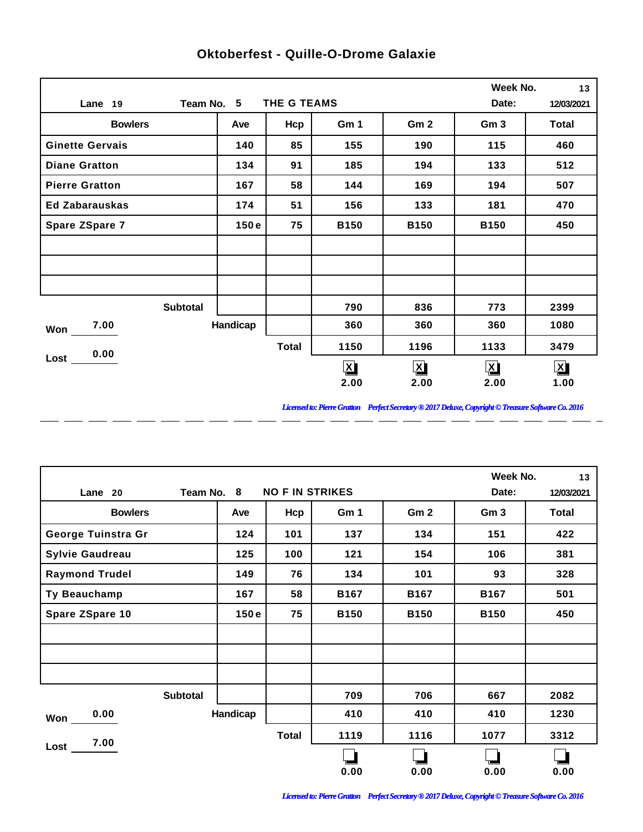|                        |            |              |              |                 | Week No.        | 13           |
|------------------------|------------|--------------|--------------|-----------------|-----------------|--------------|
| Lane 19                | Team No. 5 | THE G TEAMS  |              |                 | Date:           | 12/03/2021   |
| <b>Bowlers</b>         | Ave        | Hcp          | Gm 1         | Gm <sub>2</sub> | Gm <sub>3</sub> | <b>Total</b> |
| <b>Ginette Gervais</b> | 140        | 85           | 155          | 190             | 115             | 460          |
| <b>Diane Gratton</b>   | 134        | 91           | 185          | 194             | 133             | 512          |
| <b>Pierre Gratton</b>  | 167        | 58           | 144          | 169             | 194             | 507          |
| <b>Ed Zabarauskas</b>  | 174        | 51           | 156          | 133             | 181             | 470          |
| Spare ZSpare 7         | 150e       | 75           | <b>B150</b>  | <b>B150</b>     | <b>B150</b>     | 450          |
|                        |            |              |              |                 |                 |              |
|                        |            |              |              |                 |                 |              |
|                        |            |              |              |                 |                 |              |
| <b>Subtotal</b>        |            |              | 790          | 836             | 773             | 2399         |
| 7.00<br>Won            | Handicap   |              | 360          | 360             | 360             | 1080         |
| 0.00                   |            | <b>Total</b> | 1150         | 1196            | 1133            | 3479         |
| Lost                   |            |              | $\mathbf{X}$ | $\mathbf{X}$    | $\mathbf{X}$    | $\mathbf{X}$ |
|                        |            |              | 2.00         | 2.00            | 2.00            | 1.00         |

 $\overline{a}$ 

 $\overline{a}$ 

 $\overline{a}$ 

 $\overline{a}$ 

 $\overline{a}$ 

 $\overline{a}$ 

 $\overline{a}$ 

## **Oktoberfest - Quille-O-Drome Galaxie**

*Licensed to: Pierre Gratton Perfect Secretary ® 2017 Deluxe, Copyright © Treasure Software Co. 2016*

<u> 2002 - 2003 - 2003 - 2003 - 2003 - 2003 - 2003 - 2003 - 2003 - 2003 - 2003 - 2003 - 2003 - 2003 - 2003 - 200</u>

|                        |            |                        |             |                 | Week No.        | 13         |
|------------------------|------------|------------------------|-------------|-----------------|-----------------|------------|
| Lane 20                | Team No. 8 | <b>NO F IN STRIKES</b> |             |                 | Date:           | 12/03/2021 |
| <b>Bowlers</b>         | Ave        | Hcp                    | Gm 1        | Gm <sub>2</sub> | Gm <sub>3</sub> | Total      |
| George Tuinstra Gr     | 124        | 101                    | 137         | 134             | 151             | 422        |
| <b>Sylvie Gaudreau</b> | 125        | 100                    | 121         | 154             | 106             | 381        |
| <b>Raymond Trudel</b>  | 149        | 76                     | 134         | 101             | 93              | 328        |
| Ty Beauchamp           | 167        | 58                     | <b>B167</b> | <b>B167</b>     | <b>B167</b>     | 501        |
| Spare ZSpare 10        | 150e       | 75                     | <b>B150</b> | <b>B150</b>     | <b>B150</b>     | 450        |
|                        |            |                        |             |                 |                 |            |
|                        |            |                        |             |                 |                 |            |
|                        |            |                        |             |                 |                 |            |
| <b>Subtotal</b>        |            |                        | 709         | 706             | 667             | 2082       |
| 0.00<br>Won            | Handicap   |                        | 410         | 410             | 410             | 1230       |
| 7.00                   |            | <b>Total</b>           | 1119        | 1116            | 1077            | 3312       |
| Lost                   |            |                        |             |                 |                 |            |
|                        |            |                        | 0.00        | 0.00            | 0.00            | 0.00       |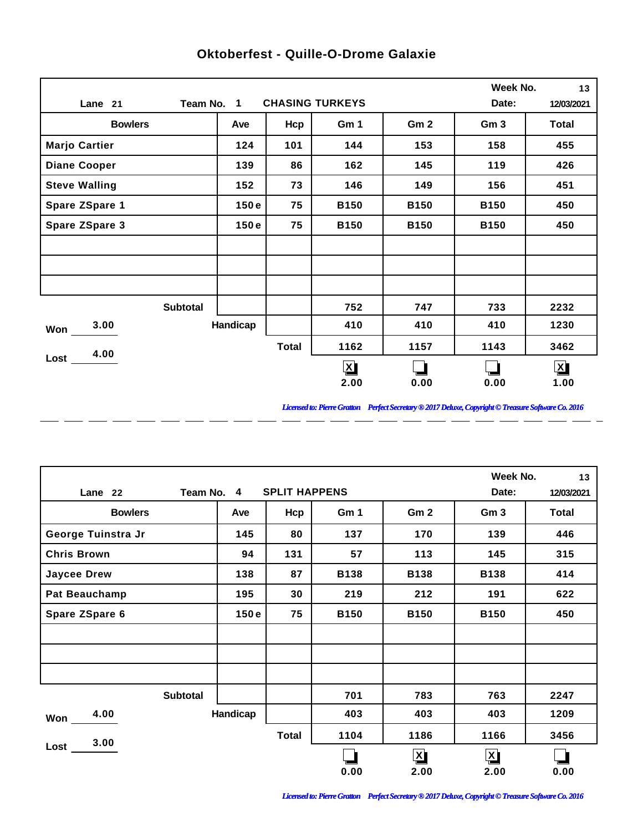|                      |                 |              |                         |                 | Week No.        | 13           |
|----------------------|-----------------|--------------|-------------------------|-----------------|-----------------|--------------|
| Lane 21              | Team No. 1      |              | <b>CHASING TURKEYS</b>  |                 | Date:           | 12/03/2021   |
| <b>Bowlers</b>       | Ave             | Hcp          | Gm 1                    | Gm <sub>2</sub> | Gm <sub>3</sub> | <b>Total</b> |
| <b>Marjo Cartier</b> | 124             | 101          | 144                     | 153             | 158             | 455          |
| <b>Diane Cooper</b>  | 139             | 86           | 162                     | 145             | 119             | 426          |
| <b>Steve Walling</b> | 152             | 73           | 146                     | 149             | 156             | 451          |
| Spare ZSpare 1       | 150e            | 75           | <b>B150</b>             | <b>B150</b>     | <b>B150</b>     | 450          |
| Spare ZSpare 3       | 150e            | 75           | <b>B150</b>             | <b>B150</b>     | <b>B150</b>     | 450          |
|                      |                 |              |                         |                 |                 |              |
|                      |                 |              |                         |                 |                 |              |
|                      |                 |              |                         |                 |                 |              |
|                      | <b>Subtotal</b> |              | 752                     | 747             | 733             | 2232         |
| 3.00<br>Won          | Handicap        |              | 410                     | 410             | 410             | 1230         |
| 4.00                 |                 | <b>Total</b> | 1162                    | 1157            | 1143            | 3462         |
| Lost                 |                 |              | $\overline{\mathbf{X}}$ |                 |                 | $\mathbf{X}$ |
|                      |                 |              | 2.00                    | 0.00            | 0.00            | 1.00         |

 $\overline{a}$ 

 $\overline{a}$ 

 $\overline{a}$ 

 $\overline{a}$ 

 $\overline{a}$ 

 $\overline{a}$ 

 $\overline{a}$ 

## **Oktoberfest - Quille-O-Drome Galaxie**

*Licensed to: Pierre Gratton Perfect Secretary ® 2017 Deluxe, Copyright © Treasure Software Co. 2016*

<u> 2002 - 2003 - 2003 - 2003 - 2003 - 2003 - 2003 - 2003 - 2003 - 2003 - 2003 - 2003 - 2003 - 2003 - 2003 - 200</u>

|                       |          |              |             |                         | Week No.             | 13    |
|-----------------------|----------|--------------|-------------|-------------------------|----------------------|-------|
| Team No. 4<br>Lane 22 | Date:    | 12/03/2021   |             |                         |                      |       |
| <b>Bowlers</b>        | Ave      | Hcp          | Gm 1        | Gm <sub>2</sub>         | Gm <sub>3</sub>      | Total |
| George Tuinstra Jr    | 145      | 80           | 137         | 170                     | 139                  | 446   |
| <b>Chris Brown</b>    | 94       | 131          | 57          | 113                     | 145                  | 315   |
| <b>Jaycee Drew</b>    | 138      | 87           | <b>B138</b> | <b>B138</b>             | <b>B138</b>          | 414   |
| <b>Pat Beauchamp</b>  | 195      | 30           | 219         | 212                     | 191                  | 622   |
| Spare ZSpare 6        | 150e     | 75           | <b>B150</b> | <b>B150</b>             | <b>B150</b>          | 450   |
|                       |          |              |             |                         |                      |       |
|                       |          |              |             |                         |                      |       |
|                       |          |              |             |                         |                      |       |
| <b>Subtotal</b>       |          |              | 701         | 783                     | 763                  | 2247  |
| 4.00<br>Won           | Handicap |              | 403         | 403                     | 403                  | 1209  |
| 3.00                  |          | <b>Total</b> | 1104        | 1186                    | 1166                 | 3456  |
| Lost                  |          |              |             | $\overline{\mathbf{X}}$ | $\boxed{\mathbf{X}}$ |       |
|                       |          |              | 0.00        | 2.00                    | 2.00                 | 0.00  |